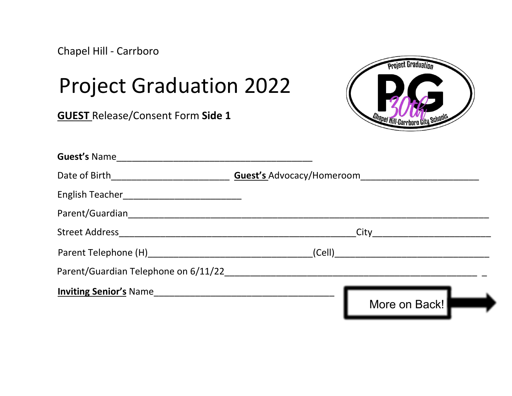Chapel Hill - Carrboro

## Project Graduation 2022

GUEST Release/Consent Form Side 1



| <b>Guest's Name</b>    |                                      |  |
|------------------------|--------------------------------------|--|
|                        | <b>Guest's Advocacy/Homeroom</b>     |  |
|                        |                                      |  |
|                        |                                      |  |
|                        |                                      |  |
|                        |                                      |  |
|                        | Parent/Guardian Telephone on 6/11/22 |  |
| Inviting Senior's Name |                                      |  |
|                        | More on Back!                        |  |